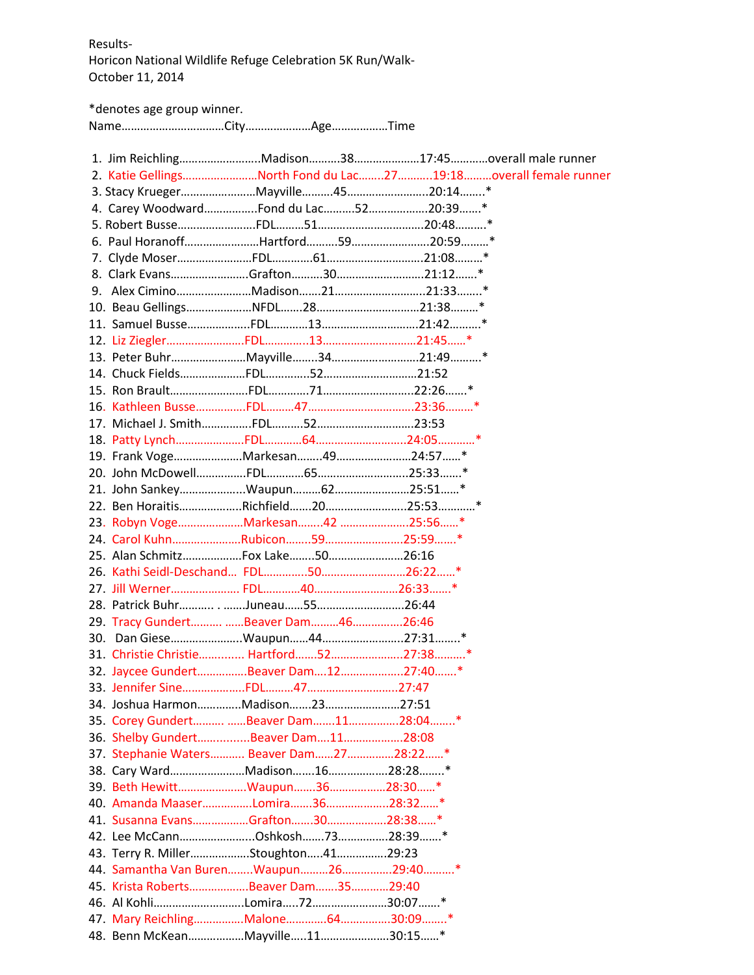Results-Horicon National Wildlife Refuge Celebration 5K Run/Walk-October 11, 2014

\*denotes age group winner.

Name……………………………City…………………Age………………Time

|  |                                         | 1. Jim ReichlingMadison3817:45overall male runner              |
|--|-----------------------------------------|----------------------------------------------------------------|
|  |                                         | 2. Katie GellingsNorth Fond du Lac2719:18overall female runner |
|  |                                         |                                                                |
|  | 4. Carey WoodwardFond du Lac5220:39*    |                                                                |
|  |                                         |                                                                |
|  |                                         |                                                                |
|  |                                         |                                                                |
|  |                                         |                                                                |
|  |                                         |                                                                |
|  |                                         |                                                                |
|  |                                         |                                                                |
|  |                                         |                                                                |
|  |                                         |                                                                |
|  |                                         |                                                                |
|  |                                         |                                                                |
|  |                                         |                                                                |
|  |                                         |                                                                |
|  |                                         |                                                                |
|  | 19. Frank VogeMarkesan4924:57*          |                                                                |
|  |                                         |                                                                |
|  | 21. John SankeyWaupun6225:51*           |                                                                |
|  |                                         |                                                                |
|  | 23. Robyn VogeMarkesan42 25:56*         |                                                                |
|  | 24. Carol KuhnRubicon5925:59*           |                                                                |
|  | 25. Alan SchmitzFox Lake5026:16         |                                                                |
|  |                                         |                                                                |
|  |                                         |                                                                |
|  |                                         |                                                                |
|  | 29. Tracy Gundert  Beaver Dam 46 26:46  |                                                                |
|  | 30. Dan GieseWaupun4427:31*             |                                                                |
|  | 31. Christie Christie Hartford5227:38*  |                                                                |
|  | 32. Jaycee GundertBeaver Dam1227:40*    |                                                                |
|  |                                         |                                                                |
|  | 34. Joshua HarmonMadison2327:51         |                                                                |
|  | 35. Corey Gundert  Beaver Dam1128:04*   |                                                                |
|  | 36. Shelby GundertBeaver Dam1128:08     |                                                                |
|  | 37. Stephanie Waters Beaver Dam2728:22* |                                                                |
|  | 38. Cary WardMadison1628:28*            |                                                                |
|  | 39. Beth HewittWaupun3628:30*           |                                                                |
|  | 40. Amanda MaaserLomira3628:32*         |                                                                |
|  | 41. Susanna EvansGrafton3028:38*        |                                                                |
|  | 42. Lee McCannOshkosh7328:39*           |                                                                |
|  | 43. Terry R. MillerStoughton4129:23     |                                                                |
|  | 44. Samantha Van BurenWaupun2629:40*    |                                                                |
|  | 45. Krista RobertsBeaver Dam3529:40     |                                                                |
|  | 46. Al KohliLomira7230:07*              |                                                                |
|  | 47. Mary ReichlingMalone6430:09*        |                                                                |
|  | 48. Benn McKeanMayville1130:15*         |                                                                |